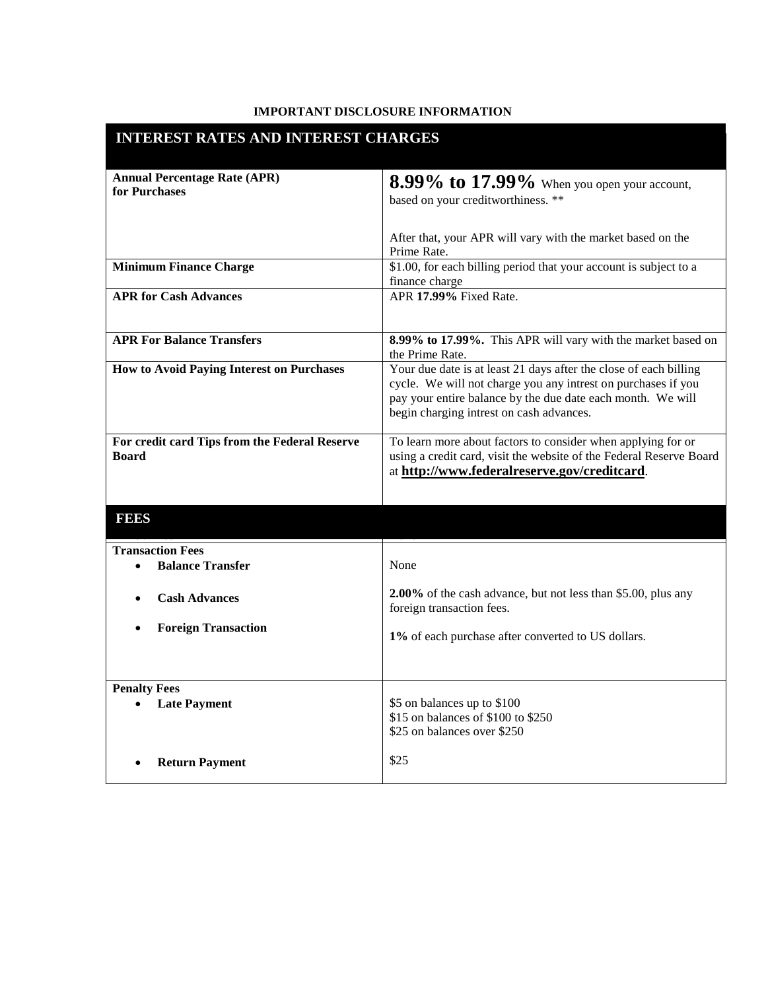## **IMPORTANT DISCLOSURE INFORMATION**

٠

| <b>INTEREST RATES AND INTEREST CHARGES</b>                    |                                                                                                                                                                                                                                               |
|---------------------------------------------------------------|-----------------------------------------------------------------------------------------------------------------------------------------------------------------------------------------------------------------------------------------------|
| <b>Annual Percentage Rate (APR)</b><br>for Purchases          | <b>8.99% to 17.99%</b> When you open your account,<br>based on your creditworthiness. **                                                                                                                                                      |
|                                                               | After that, your APR will vary with the market based on the<br>Prime Rate.                                                                                                                                                                    |
| <b>Minimum Finance Charge</b>                                 | \$1.00, for each billing period that your account is subject to a<br>finance charge                                                                                                                                                           |
| <b>APR for Cash Advances</b>                                  | APR 17.99% Fixed Rate.                                                                                                                                                                                                                        |
| <b>APR For Balance Transfers</b>                              | 8.99% to 17.99%. This APR will vary with the market based on<br>the Prime Rate.                                                                                                                                                               |
| <b>How to Avoid Paying Interest on Purchases</b>              | Your due date is at least 21 days after the close of each billing<br>cycle. We will not charge you any intrest on purchases if you<br>pay your entire balance by the due date each month. We will<br>begin charging intrest on cash advances. |
| For credit card Tips from the Federal Reserve<br><b>Board</b> | To learn more about factors to consider when applying for or<br>using a credit card, visit the website of the Federal Reserve Board<br>at http://www.federalreserve.gov/creditcard.                                                           |
| <b>FEES</b>                                                   |                                                                                                                                                                                                                                               |
| <b>Transaction Fees</b>                                       |                                                                                                                                                                                                                                               |
| <b>Balance Transfer</b>                                       | None                                                                                                                                                                                                                                          |
| <b>Cash Advances</b>                                          | 2.00% of the cash advance, but not less than \$5.00, plus any<br>foreign transaction fees.                                                                                                                                                    |
| <b>Foreign Transaction</b>                                    | 1% of each purchase after converted to US dollars.                                                                                                                                                                                            |
| <b>Penalty Fees</b>                                           |                                                                                                                                                                                                                                               |
| <b>Late Payment</b>                                           | \$5 on balances up to \$100<br>\$15 on balances of \$100 to \$250<br>\$25 on balances over \$250                                                                                                                                              |
| <b>Return Payment</b>                                         | \$25                                                                                                                                                                                                                                          |